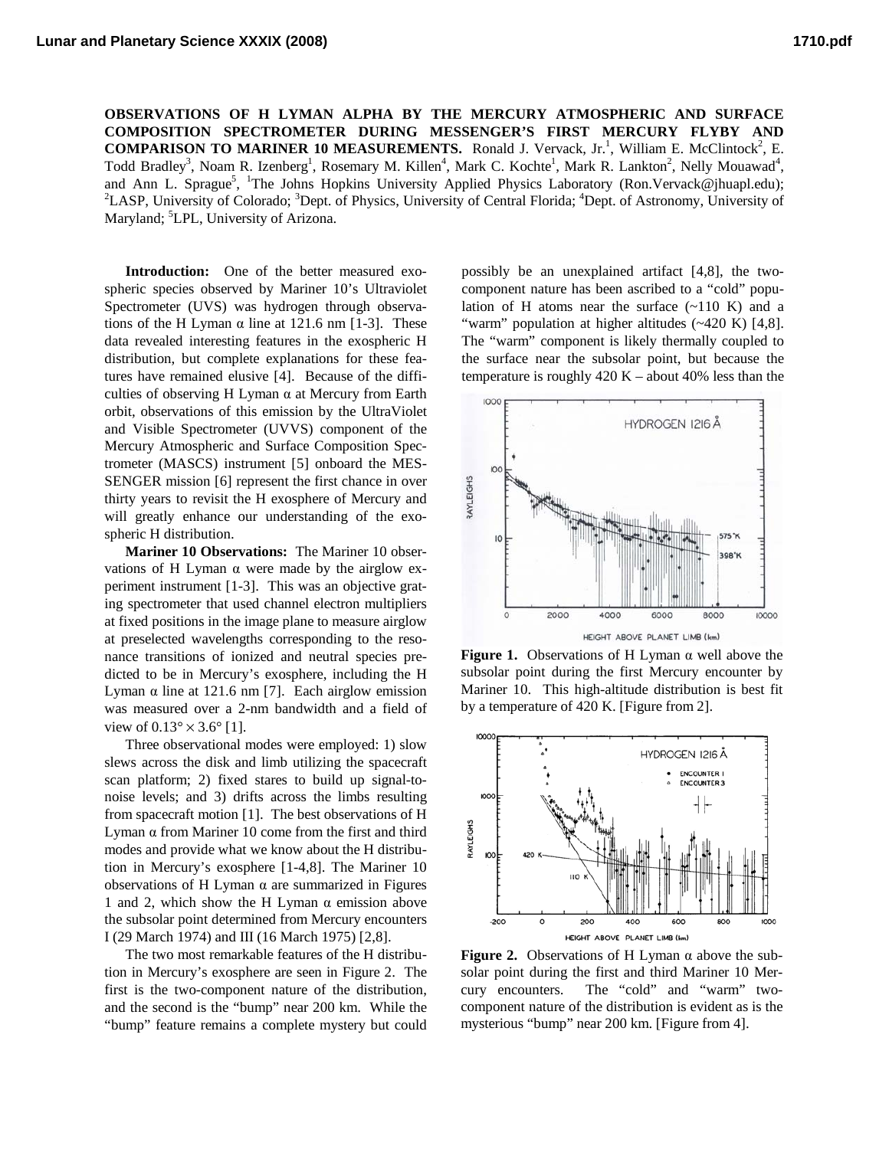**OBSERVATIONS OF H LYMAN ALPHA BY THE MERCURY ATMOSPHERIC AND SURFACE COMPOSITION SPECTROMETER DURING MESSENGER'S FIRST MERCURY FLYBY AND COMPARISON TO MARINER 10 MEASUREMENTS.** Ronald J. Vervack, Jr.<sup>1</sup>, William E. McClintock<sup>2</sup>, E. Todd Bradley<sup>3</sup>, Noam R. Izenberg<sup>1</sup>, Rosemary M. Killen<sup>4</sup>, Mark C. Kochte<sup>1</sup>, Mark R. Lankton<sup>2</sup>, Nelly Mouawad<sup>4</sup>, and Ann L. Sprague<sup>5</sup>, <sup>1</sup>The Johns Hopkins University Applied Physics Laboratory (Ron.Vervack@jhuapl.edu);<br><sup>2</sup>LASD University of Colorado: <sup>3</sup>Dant of Physics University of Cantral Election<sup>4</sup> Dant of Astronomy University LASP, University of Colorado; <sup>3</sup>Dept. of Physics, University of Central Florida; <sup>4</sup>Dept. of Astronomy, University of Maryland; <sup>5</sup>LPL, University of Arizona.

**Introduction:** One of the better measured exospheric species observed by Mariner 10's Ultraviolet Spectrometer (UVS) was hydrogen through observations of the H Lyman  $\alpha$  line at 121.6 nm [1-3]. These data revealed interesting features in the exospheric H distribution, but complete explanations for these features have remained elusive [4]. Because of the difficulties of observing H Lyman  $\alpha$  at Mercury from Earth orbit, observations of this emission by the UltraViolet and Visible Spectrometer (UVVS) component of the Mercury Atmospheric and Surface Composition Spectrometer (MASCS) instrument [5] onboard the MES-SENGER mission [6] represent the first chance in over thirty years to revisit the H exosphere of Mercury and will greatly enhance our understanding of the exospheric H distribution.

**Mariner 10 Observations:** The Mariner 10 observations of H Lyman α were made by the airglow experiment instrument [1-3]. This was an objective grating spectrometer that used channel electron multipliers at fixed positions in the image plane to measure airglow at preselected wavelengths corresponding to the resonance transitions of ionized and neutral species predicted to be in Mercury's exosphere, including the H Lyman α line at 121.6 nm [7]. Each airglow emission was measured over a 2-nm bandwidth and a field of view of  $0.13^{\circ} \times 3.6^{\circ}$  [1].

Three observational modes were employed: 1) slow slews across the disk and limb utilizing the spacecraft scan platform; 2) fixed stares to build up signal-tonoise levels; and 3) drifts across the limbs resulting from spacecraft motion [1]. The best observations of H Lyman α from Mariner 10 come from the first and third modes and provide what we know about the H distribution in Mercury's exosphere [1-4,8]. The Mariner 10 observations of H Lyman α are summarized in Figures 1 and 2, which show the H Lyman  $\alpha$  emission above the subsolar point determined from Mercury encounters I (29 March 1974) and III (16 March 1975) [2,8].

The two most remarkable features of the H distribution in Mercury's exosphere are seen in Figure 2. The first is the two-component nature of the distribution, and the second is the "bump" near 200 km. While the "bump" feature remains a complete mystery but could

possibly be an unexplained artifact [4,8], the twocomponent nature has been ascribed to a "cold" population of H atoms near the surface  $(-110 K)$  and a "warm" population at higher altitudes (~420 K) [4,8]. The "warm" component is likely thermally coupled to the surface near the subsolar point, but because the temperature is roughly  $420 K -$ about  $40\%$  less than the



**Figure 1.** Observations of H Lyman α well above the subsolar point during the first Mercury encounter by Mariner 10. This high-altitude distribution is best fit by a temperature of 420 K. [Figure from 2].



**Figure 2.** Observations of H Lyman α above the subsolar point during the first and third Mariner 10 Mercury encounters. The "cold" and "warm" twocomponent nature of the distribution is evident as is the mysterious "bump" near 200 km. [Figure from 4].